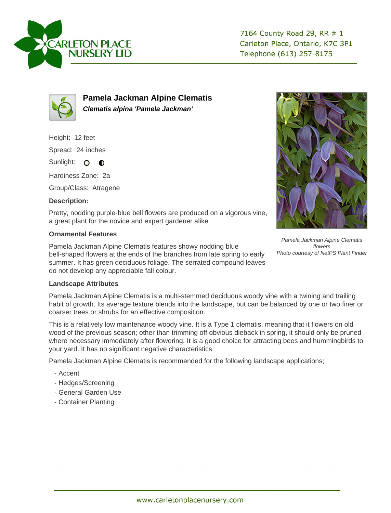



**Pamela Jackman Alpine Clematis Clematis alpina 'Pamela Jackman'**

Height: 12 feet

Spread: 24 inches

Sunlight: O **O** 

Hardiness Zone: 2a

Group/Class: Atragene

## **Description:**

Pretty, nodding purple-blue bell flowers are produced on a vigorous vine, a great plant for the novice and expert gardener alike

## **Ornamental Features**

Pamela Jackman Alpine Clematis features showy nodding blue bell-shaped flowers at the ends of the branches from late spring to early summer. It has green deciduous foliage. The serrated compound leaves do not develop any appreciable fall colour.



Pamela Jackman Alpine Clematis flowers Photo courtesy of NetPS Plant Finder

## **Landscape Attributes**

Pamela Jackman Alpine Clematis is a multi-stemmed deciduous woody vine with a twining and trailing habit of growth. Its average texture blends into the landscape, but can be balanced by one or two finer or coarser trees or shrubs for an effective composition.

This is a relatively low maintenance woody vine. It is a Type 1 clematis, meaning that it flowers on old wood of the previous season; other than trimming off obvious dieback in spring, it should only be pruned where necessary immediately after flowering. It is a good choice for attracting bees and hummingbirds to your yard. It has no significant negative characteristics.

Pamela Jackman Alpine Clematis is recommended for the following landscape applications;

- Accent
- Hedges/Screening
- General Garden Use
- Container Planting